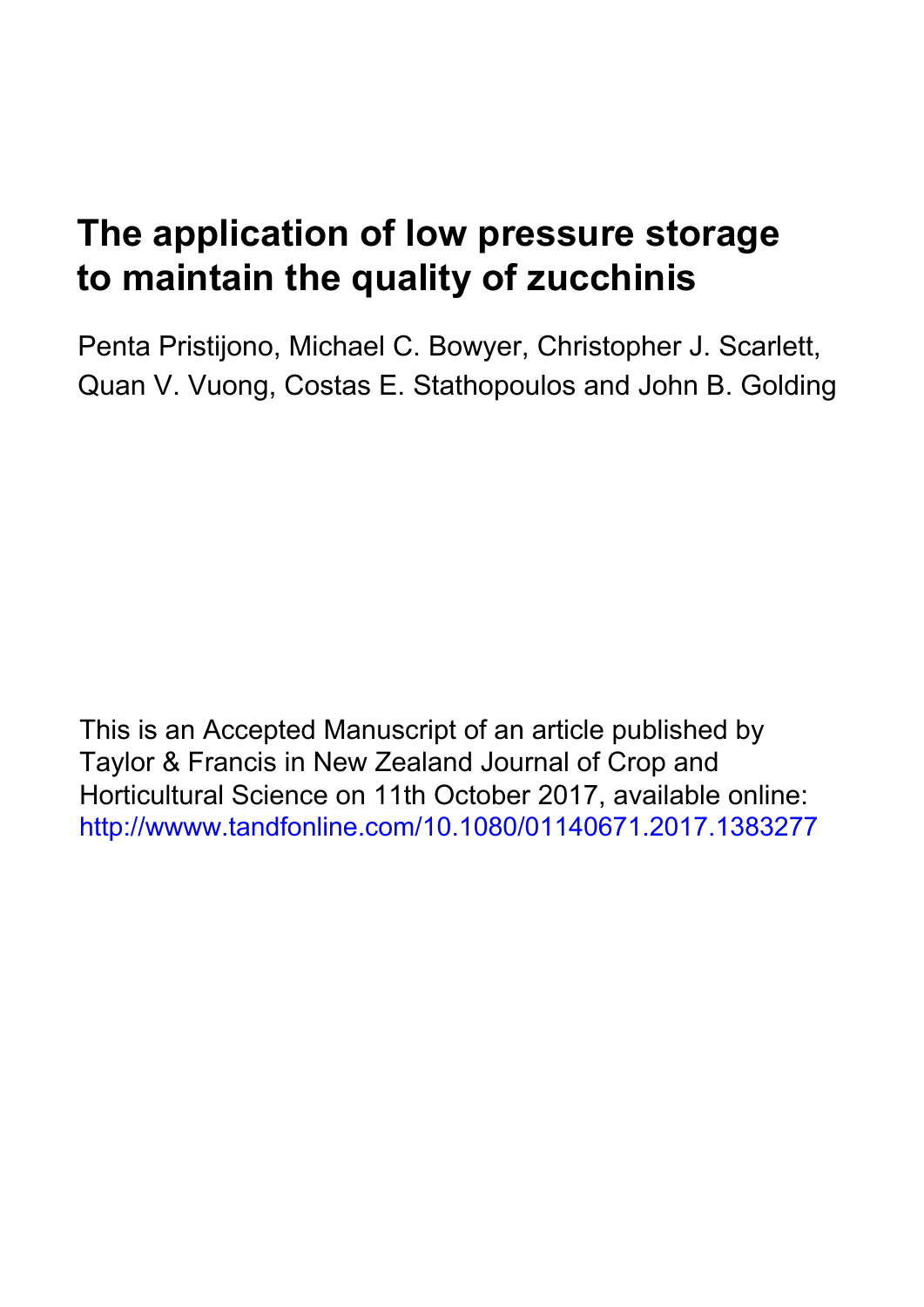# **The application of low pressure storage to maintain the quality of zucchinis**

Penta Pristijono, Michael C. Bowyer, Christopher J. Scarlett, Quan V. Vuong, Costas E. Stathopoulos and John B. Golding

This is an Accepted Manuscript of an article published by Taylor & Francis in New Zealand Journal of Crop and Horticultural Science on 11th October 2017, available online: [http://wwww.tandfonline.com/10.1080/01140671.2017.1383277](http://dx.doi.org/10.1080/01140671.2017.1383277)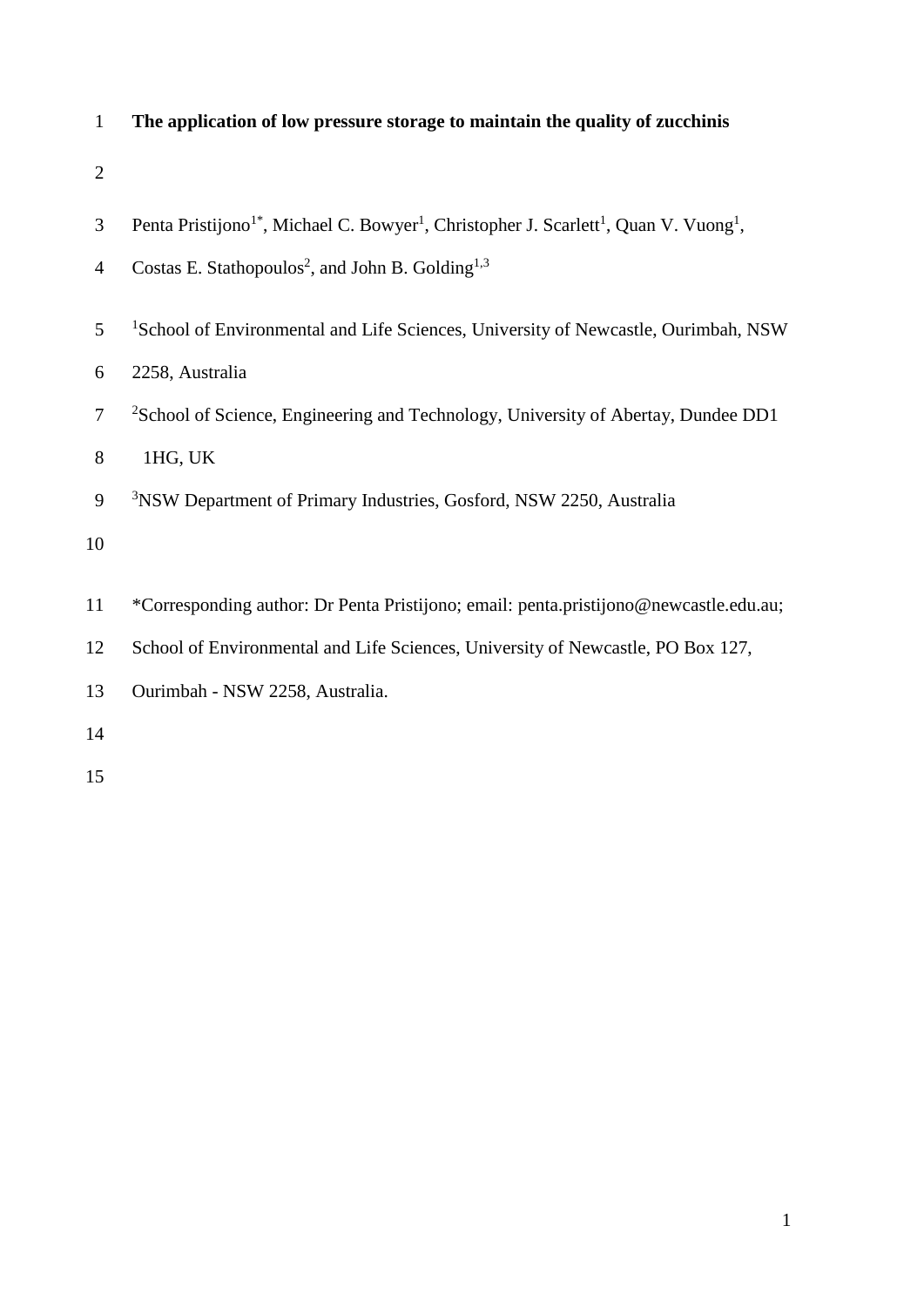| $\mathbf{1}$   | The application of low pressure storage to maintain the quality of zucchinis                                                          |
|----------------|---------------------------------------------------------------------------------------------------------------------------------------|
| $\mathbf{2}$   |                                                                                                                                       |
| $\mathfrak{Z}$ | Penta Pristijono <sup>1*</sup> , Michael C. Bowyer <sup>1</sup> , Christopher J. Scarlett <sup>1</sup> , Quan V. Vuong <sup>1</sup> , |
| $\overline{4}$ | Costas E. Stathopoulos <sup>2</sup> , and John B. Golding <sup>1,3</sup>                                                              |
| 5              | <sup>1</sup> School of Environmental and Life Sciences, University of Newcastle, Ourimbah, NSW                                        |
| 6              | 2258, Australia                                                                                                                       |
| $\tau$         | <sup>2</sup> School of Science, Engineering and Technology, University of Abertay, Dundee DD1                                         |
| $8\,$          | 1HG, UK                                                                                                                               |
| 9              | <sup>3</sup> NSW Department of Primary Industries, Gosford, NSW 2250, Australia                                                       |
| 10             |                                                                                                                                       |
| 11             | *Corresponding author: Dr Penta Pristijono; email: penta.pristijono@newcastle.edu.au;                                                 |
| 12             | School of Environmental and Life Sciences, University of Newcastle, PO Box 127,                                                       |
| 13             | Ourimbah - NSW 2258, Australia.                                                                                                       |
| 14             |                                                                                                                                       |
|                |                                                                                                                                       |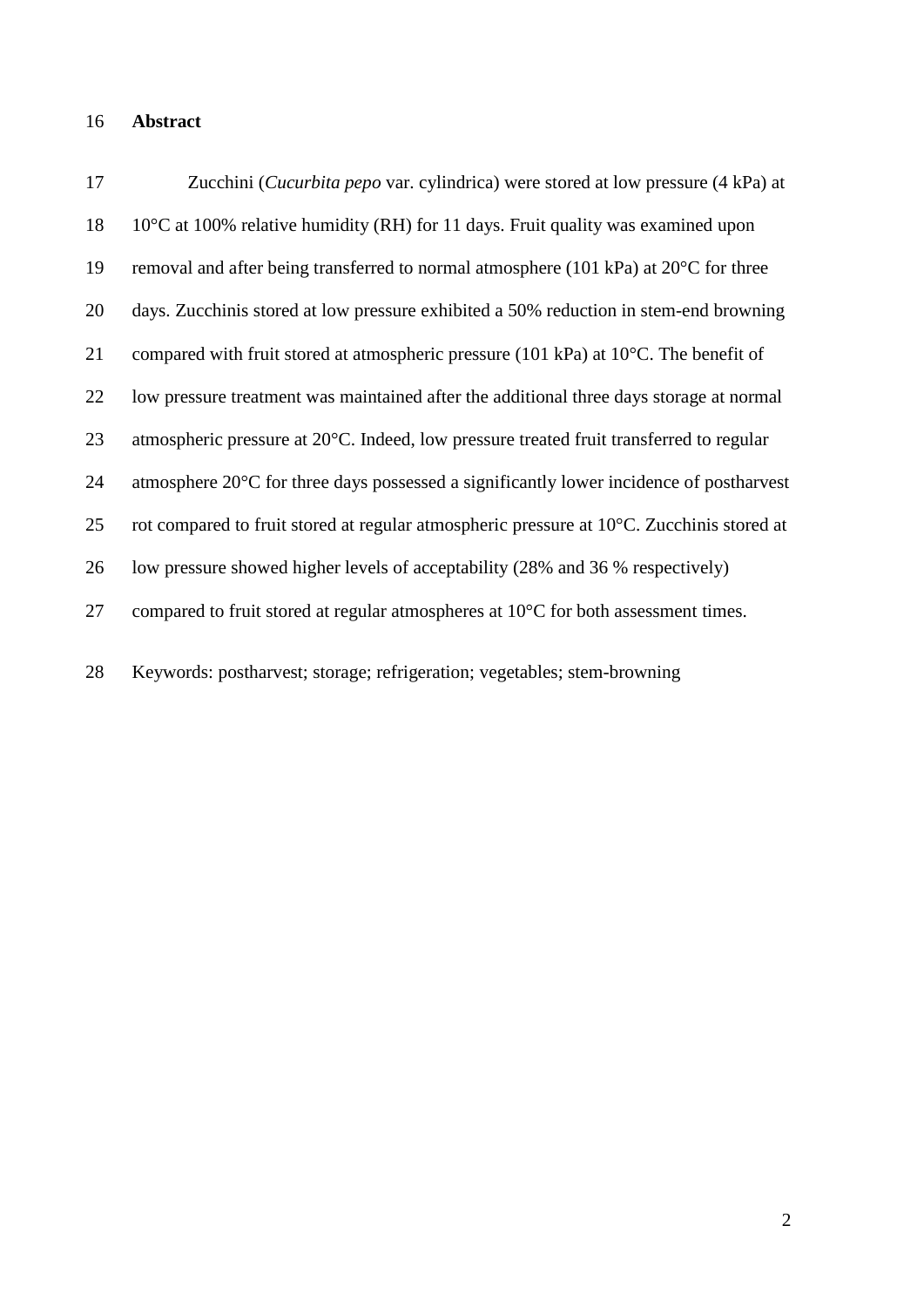# **Abstract**

| 17 | Zucchini (Cucurbita pepo var. cylindrica) were stored at low pressure (4 kPa) at               |
|----|------------------------------------------------------------------------------------------------|
| 18 | $10^{\circ}$ C at 100% relative humidity (RH) for 11 days. Fruit quality was examined upon     |
| 19 | removal and after being transferred to normal atmosphere (101 kPa) at $20^{\circ}$ C for three |
| 20 | days. Zucchinis stored at low pressure exhibited a 50% reduction in stem-end browning          |
| 21 | compared with fruit stored at atmospheric pressure (101 kPa) at 10°C. The benefit of           |
| 22 | low pressure treatment was maintained after the additional three days storage at normal        |
| 23 | atmospheric pressure at 20°C. Indeed, low pressure treated fruit transferred to regular        |
| 24 | atmosphere 20°C for three days possessed a significantly lower incidence of postharvest        |
| 25 | rot compared to fruit stored at regular atmospheric pressure at 10°C. Zucchinis stored at      |
| 26 | low pressure showed higher levels of acceptability (28% and 36 % respectively)                 |
| 27 | compared to fruit stored at regular atmospheres at $10^{\circ}$ C for both assessment times.   |
| 28 | Keywords: postharvest; storage; refrigeration; vegetables; stem-browning                       |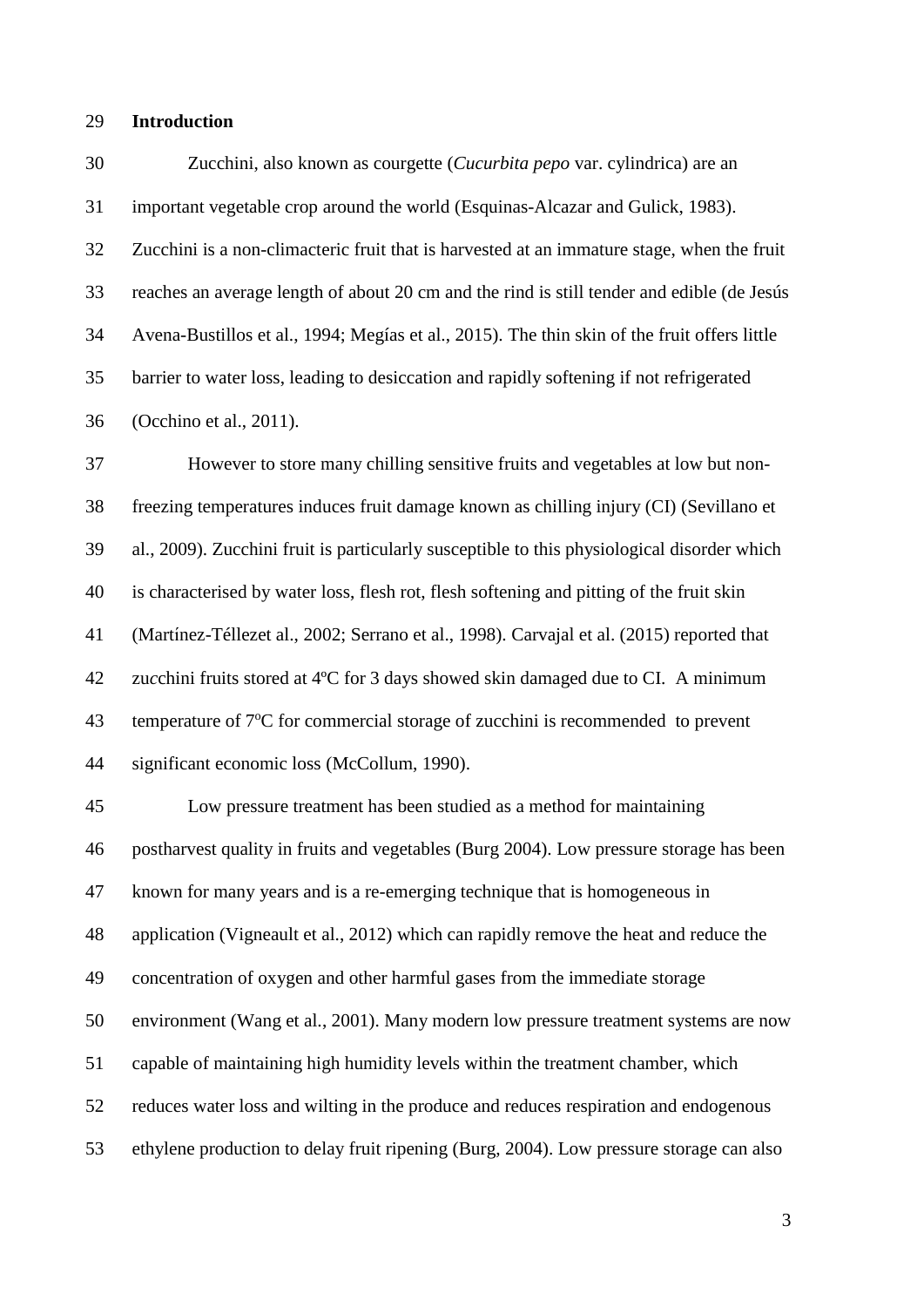### **Introduction**

 Zucchini, also known as courgette (*Cucurbita pepo* var. cylindrica) are an important vegetable crop around the world (Esquinas-Alcazar and Gulick, 1983). Zucchini is a non-climacteric fruit that is harvested at an immature stage, when the fruit reaches an average length of about 20 cm and the rind is still tender and edible (de Jesús Avena-Bustillos et al., 1994; Megías et al., 2015). The thin skin of the fruit offers little barrier to water loss, leading to desiccation and rapidly softening if not refrigerated (Occhino et al., 2011).

 However to store many chilling sensitive fruits and vegetables at low but non- freezing temperatures induces fruit damage known as chilling injury (CI) (Sevillano et al., 2009). Zucchini fruit is particularly susceptible to this physiological disorder which is characterised by water loss, flesh rot, flesh softening and pitting of the fruit skin 41 (Martínez-Téllezet al., 2002; Serrano et al., 1998). Carvajal et al. (2015) reported that zu*c*chini fruits stored at 4ºC for 3 days showed skin damaged due to CI. A minimum 43 temperature of 7°C for commercial storage of zucchini is recommended to prevent significant economic loss (McCollum, 1990).

 Low pressure treatment has been studied as a method for maintaining postharvest quality in fruits and vegetables (Burg 2004). Low pressure storage has been known for many years and is a re-emerging technique that is homogeneous in application (Vigneault et al., 2012) which can rapidly remove the heat and reduce the concentration of oxygen and other harmful gases from the immediate storage environment (Wang et al., 2001). Many modern low pressure treatment systems are now capable of maintaining high humidity levels within the treatment chamber, which reduces water loss and wilting in the produce and reduces respiration and endogenous ethylene production to delay fruit ripening (Burg, 2004). Low pressure storage can also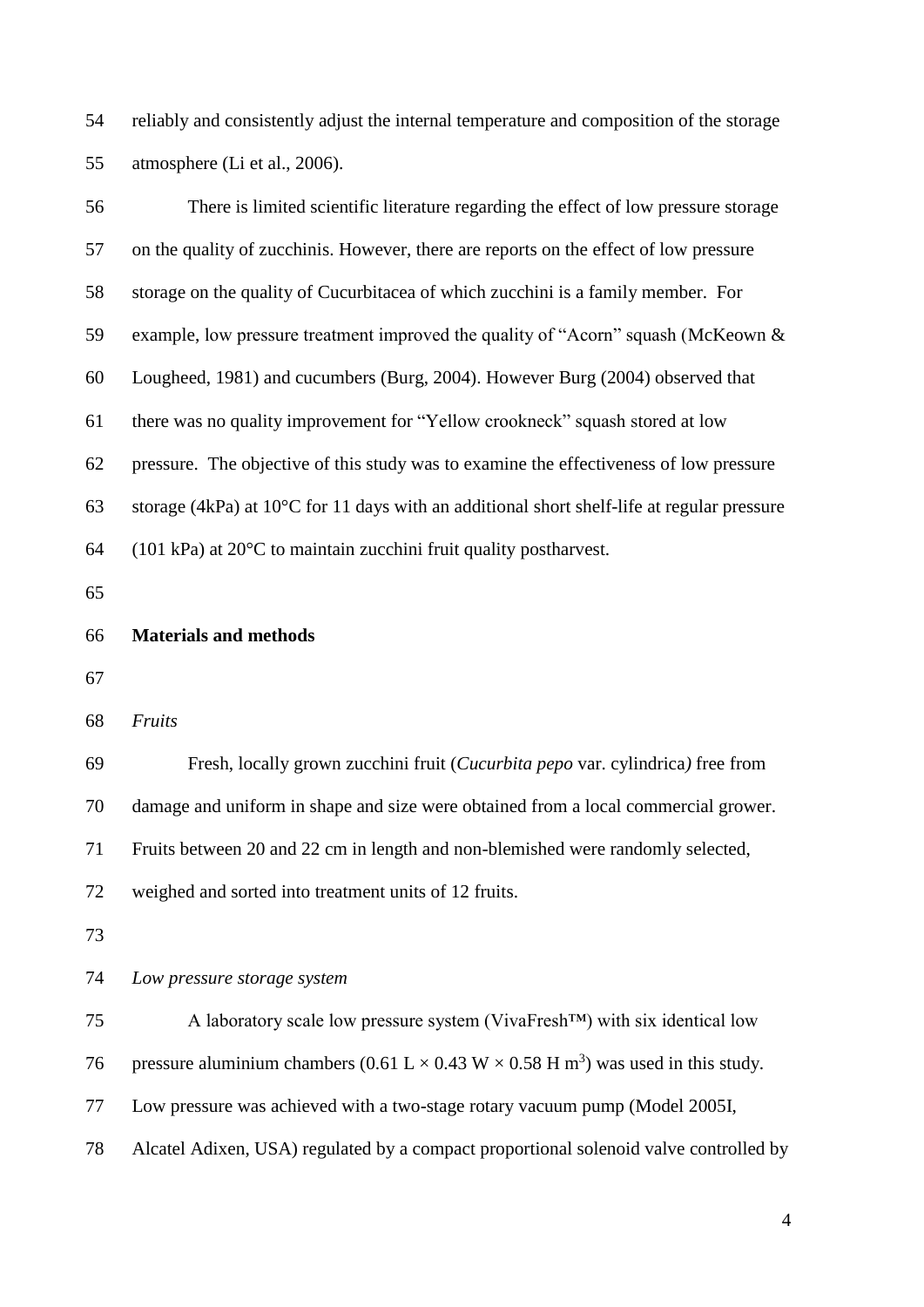reliably and consistently adjust the internal temperature and composition of the storage atmosphere (Li et al., 2006).

| 56 | There is limited scientific literature regarding the effect of low pressure storage                          |  |  |  |
|----|--------------------------------------------------------------------------------------------------------------|--|--|--|
| 57 | on the quality of zucchinis. However, there are reports on the effect of low pressure                        |  |  |  |
| 58 | storage on the quality of Cucurbitacea of which zucchini is a family member. For                             |  |  |  |
| 59 | example, low pressure treatment improved the quality of "Acorn" squash (McKeown &                            |  |  |  |
| 60 | Lougheed, 1981) and cucumbers (Burg, 2004). However Burg (2004) observed that                                |  |  |  |
| 61 | there was no quality improvement for "Yellow crookneck" squash stored at low                                 |  |  |  |
| 62 | pressure. The objective of this study was to examine the effectiveness of low pressure                       |  |  |  |
| 63 | storage (4kPa) at $10^{\circ}$ C for 11 days with an additional short shelf-life at regular pressure         |  |  |  |
| 64 | $(101 \text{ kPa})$ at $20^{\circ}\text{C}$ to maintain zucchini fruit quality postharvest.                  |  |  |  |
| 65 |                                                                                                              |  |  |  |
| 66 | <b>Materials and methods</b>                                                                                 |  |  |  |
| 67 |                                                                                                              |  |  |  |
| 68 | Fruits                                                                                                       |  |  |  |
| 69 | Fresh, locally grown zucchini fruit ( <i>Cucurbita pepo</i> var. cylindrica) free from                       |  |  |  |
| 70 | damage and uniform in shape and size were obtained from a local commercial grower.                           |  |  |  |
| 71 | Fruits between 20 and 22 cm in length and non-blemished were randomly selected,                              |  |  |  |
| 72 | weighed and sorted into treatment units of 12 fruits.                                                        |  |  |  |
| 73 |                                                                                                              |  |  |  |
| 74 | Low pressure storage system                                                                                  |  |  |  |
| 75 | A laboratory scale low pressure system (VivaFresh <sup>TM</sup> ) with six identical low                     |  |  |  |
| 76 | pressure aluminium chambers (0.61 L $\times$ 0.43 W $\times$ 0.58 H m <sup>3</sup> ) was used in this study. |  |  |  |
| 77 | Low pressure was achieved with a two-stage rotary vacuum pump (Model 2005I,                                  |  |  |  |
| 78 | Alcatel Adixen, USA) regulated by a compact proportional solenoid valve controlled by                        |  |  |  |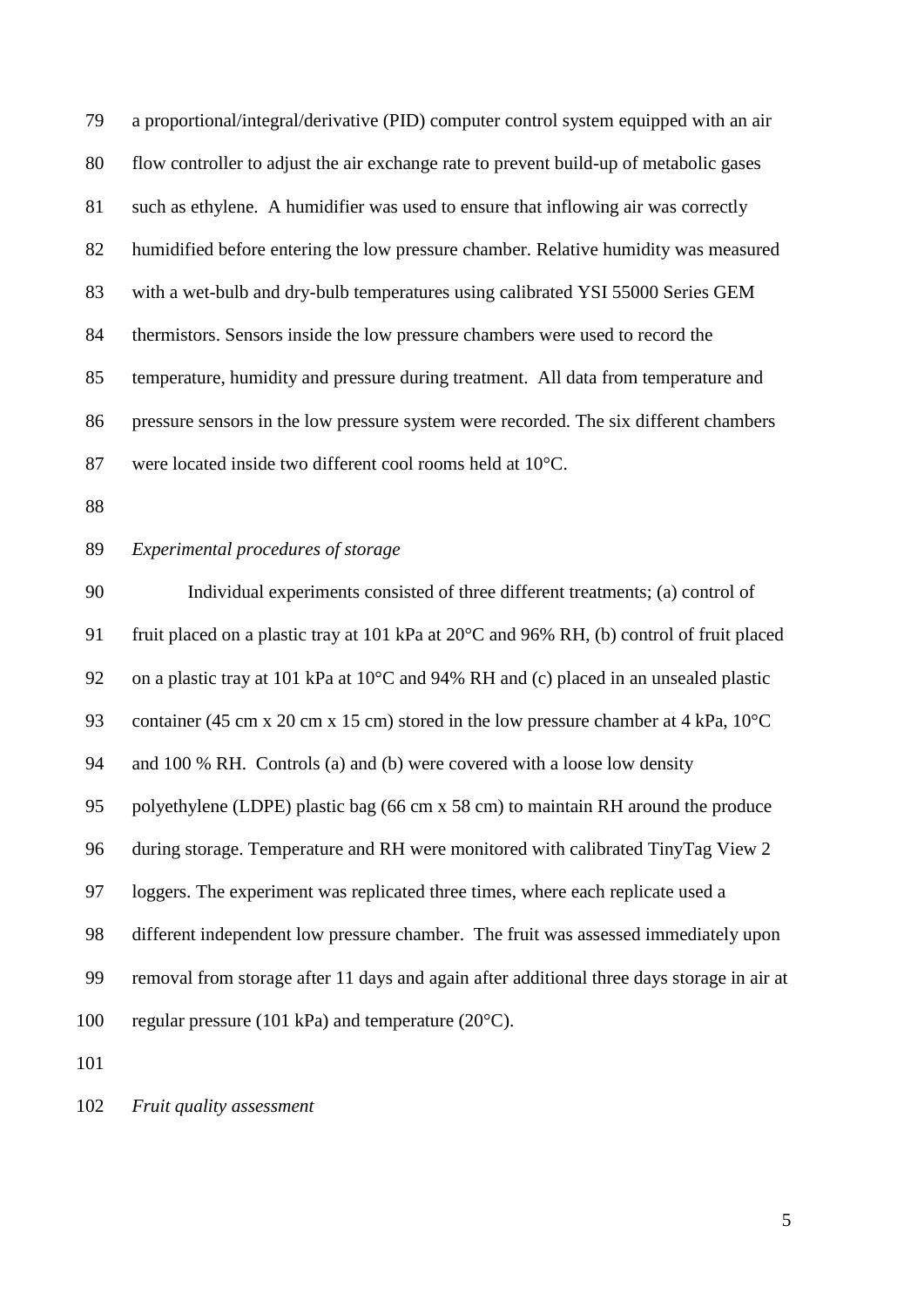a proportional/integral/derivative (PID) computer control system equipped with an air flow controller to adjust the air exchange rate to prevent build-up of metabolic gases such as ethylene. A humidifier was used to ensure that inflowing air was correctly humidified before entering the low pressure chamber. Relative humidity was measured with a wet-bulb and dry-bulb temperatures using calibrated YSI 55000 Series GEM thermistors. Sensors inside the low pressure chambers were used to record the temperature, humidity and pressure during treatment. All data from temperature and pressure sensors in the low pressure system were recorded. The six different chambers were located inside two different cool rooms held at 10°C.

# *Experimental procedures of storage*

 Individual experiments consisted of three different treatments; (a) control of fruit placed on a plastic tray at 101 kPa at 20°C and 96% RH, (b) control of fruit placed on a plastic tray at 101 kPa at 10°C and 94% RH and (c) placed in an unsealed plastic 93 container (45 cm x 20 cm x 15 cm) stored in the low pressure chamber at 4 kPa, 10<sup>o</sup>C and 100 % RH. Controls (a) and (b) were covered with a loose low density polyethylene (LDPE) plastic bag (66 cm x 58 cm) to maintain RH around the produce during storage. Temperature and RH were monitored with calibrated TinyTag View 2 loggers. The experiment was replicated three times, where each replicate used a different independent low pressure chamber. The fruit was assessed immediately upon removal from storage after 11 days and again after additional three days storage in air at regular pressure (101 kPa) and temperature (20°C).

*Fruit quality assessment*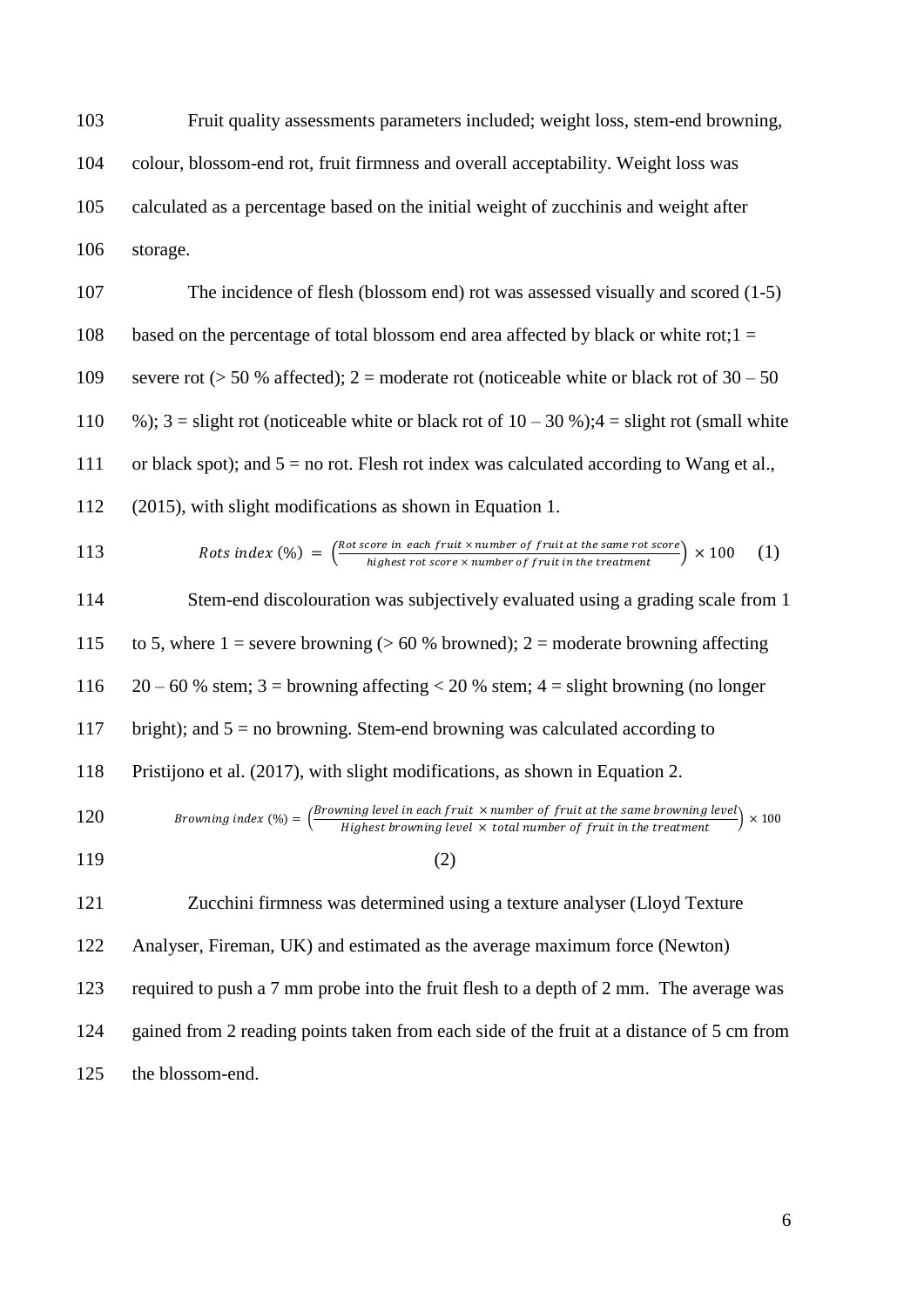Fruit quality assessments parameters included; weight loss, stem-end browning, colour, blossom-end rot, fruit firmness and overall acceptability. Weight loss was calculated as a percentage based on the initial weight of zucchinis and weight after storage.

107 The incidence of flesh (blossom end) rot was assessed visually and scored (1-5) 108 based on the percentage of total blossom end area affected by black or white rot; $1 =$ 109 severe rot ( $> 50$  % affected); 2 = moderate rot (noticeable white or black rot of 30 – 50 110 %);  $3 =$  slight rot (noticeable white or black rot of  $10 - 30$  %);  $4 =$  slight rot (small white 111 or black spot); and  $5 =$  no rot. Flesh rot index was calculated according to Wang et al., 112 (2015), with slight modifications as shown in Equation 1.

$$
113 \t\t \text{Rots index } (\%) = \left( \frac{\text{Rot score in each fruit} \times \text{number of fruit at the same rot score}}{\text{highest rot score} \times \text{number of fruit in the treatment}} \right) \times 100 \quad (1)
$$

114 Stem-end discolouration was subjectively evaluated using a grading scale from 1 115 to 5, where  $1 =$  severe browning ( $> 60$  % browned); 2 = moderate browning affecting 116  $20 - 60$  % stem; 3 = browning affecting < 20 % stem; 4 = slight browning (no longer 117 bright); and 5 = no browning. Stem-end browning was calculated according to 118 Pristijono et al. (2017), with slight modifications, as shown in Equation 2. Browning index  $(\%) = \left(\frac{Browning\ level\ in\ each\ fruit\ \times number\ of\ fruit\ at\ the\ same\ brown\ level}{\text{Minkal}\ out\ local\ local\ total\ with\ the\ treatment} \right)$ 120 *Browning index* (%) =  $\left(\frac{b}{}{\text{H}}\right)$  *Browning level in each fruit*  $\times$  *humber of fruit in the same browning level*  $\times$  200  $119$  (2)

 Zucchini firmness was determined using a texture analyser (Lloyd Texture Analyser, Fireman, UK) and estimated as the average maximum force (Newton) required to push a 7 mm probe into the fruit flesh to a depth of 2 mm. The average was gained from 2 reading points taken from each side of the fruit at a distance of 5 cm from the blossom-end.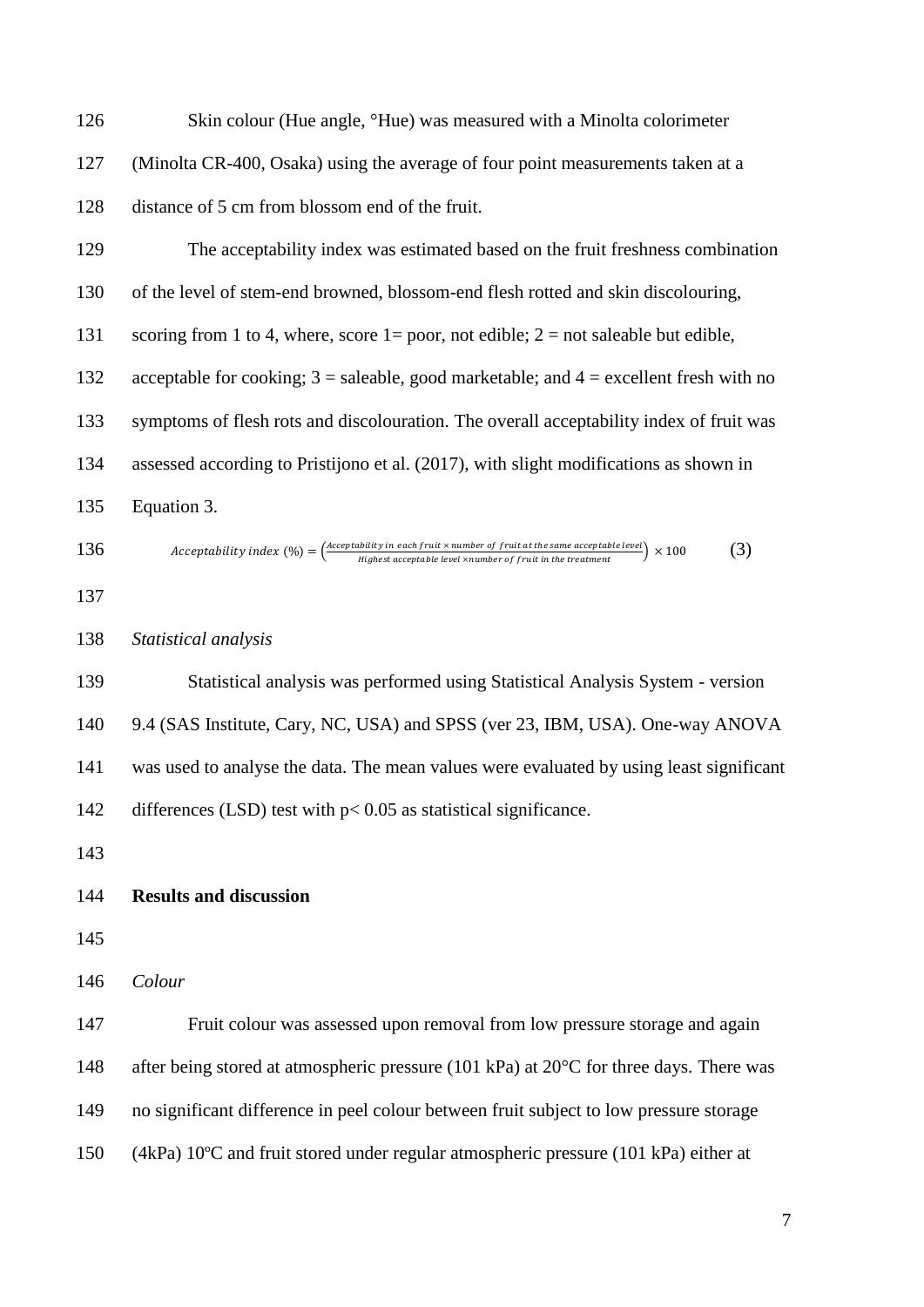126 Skin colour (Hue angle, <sup>o</sup>Hue) was measured with a Minolta colorimeter (Minolta CR-400, Osaka) using the average of four point measurements taken at a distance of 5 cm from blossom end of the fruit.

 The acceptability index was estimated based on the fruit freshness combination of the level of stem-end browned, blossom-end flesh rotted and skin discolouring, 131 scoring from 1 to 4, where, score 1 = poor, not edible; 2 = not saleable but edible, acceptable for cooking; 3 = saleable, good marketable; and 4 = excellent fresh with no symptoms of flesh rots and discolouration. The overall acceptability index of fruit was assessed according to Pristijono et al. (2017), with slight modifications as shown in Equation 3.

136 Acceptability index (
$$
\%
$$
) =  $\frac{(\text{acceptability in each fruit} \times \text{number of fruit at the same acceptable level}) \times 100}{\text{Higher acceptable level} \times \text{number of fruit in the treatment}}$ ) × 100 (3)

*Statistical analysis*

 Statistical analysis was performed using Statistical Analysis System - version 9.4 (SAS Institute, Cary, NC, USA) and SPSS (ver 23, IBM, USA). One-way ANOVA was used to analyse the data. The mean values were evaluated by using least significant 142 differences (LSD) test with  $p < 0.05$  as statistical significance.

# **Results and discussion**

*Colour*

 Fruit colour was assessed upon removal from low pressure storage and again 148 after being stored at atmospheric pressure (101 kPa) at 20°C for three days. There was no significant difference in peel colour between fruit subject to low pressure storage (4kPa) 10ºC and fruit stored under regular atmospheric pressure (101 kPa) either at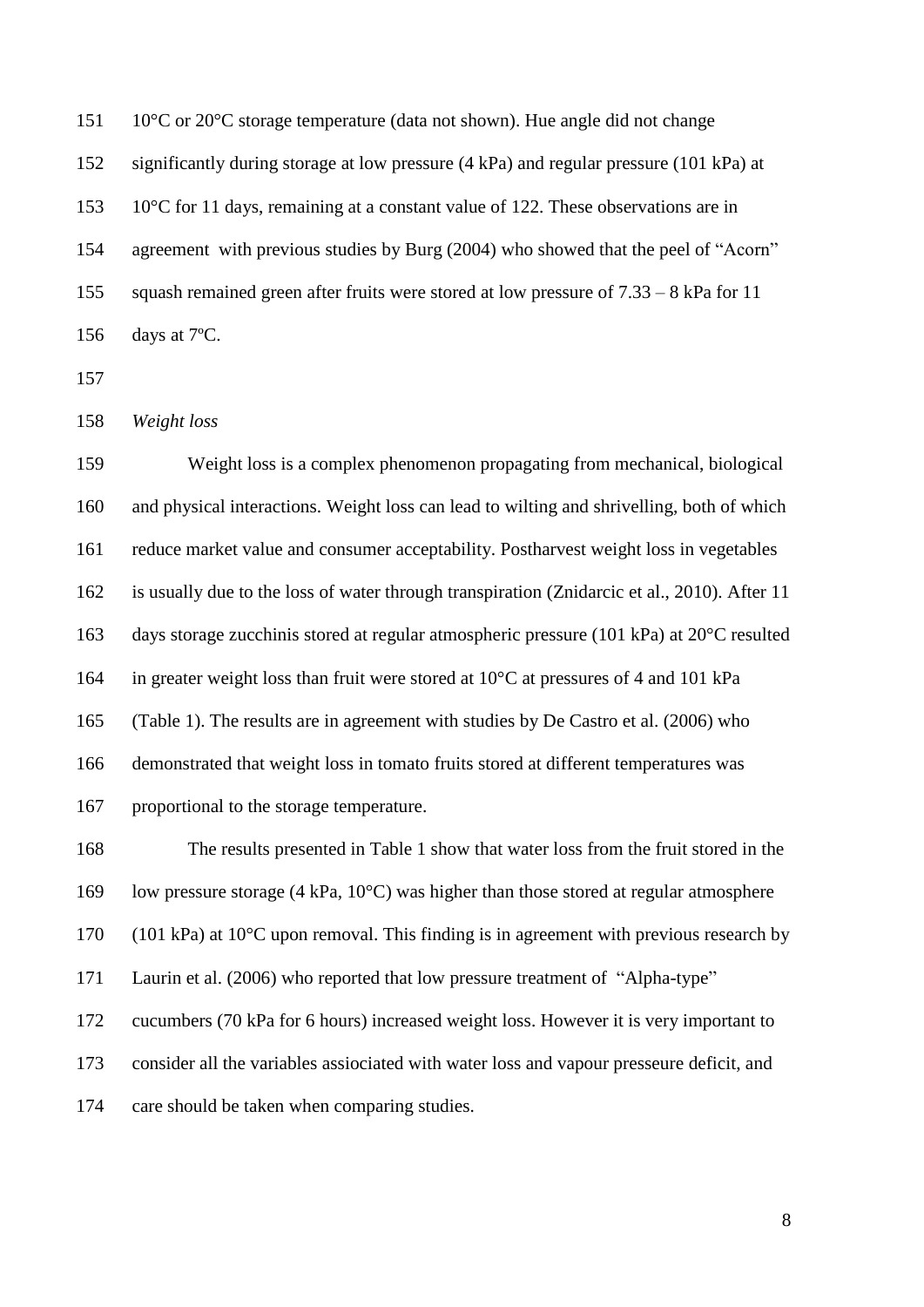151 10°C or 20°C storage temperature (data not shown). Hue angle did not change significantly during storage at low pressure (4 kPa) and regular pressure (101 kPa) at 153 10°C for 11 days, remaining at a constant value of 122. These observations are in agreement with previous studies by Burg (2004) who showed that the peel of "Acorn" squash remained green after fruits were stored at low pressure of 7.33 – 8 kPa for 11 days at 7ºC.

*Weight loss*

 Weight loss is a complex phenomenon propagating from mechanical, biological and physical interactions. Weight loss can lead to wilting and shrivelling, both of which reduce market value and consumer acceptability. Postharvest weight loss in vegetables is usually due to the loss of water through transpiration (Znidarcic et al., 2010). After 11 days storage zucchinis stored at regular atmospheric pressure (101 kPa) at 20°C resulted in greater weight loss than fruit were stored at 10°C at pressures of 4 and 101 kPa (Table 1). The results are in agreement with studies by De Castro et al. (2006) who demonstrated that weight loss in tomato fruits stored at different temperatures was proportional to the storage temperature. The results presented in Table 1 show that water loss from the fruit stored in the

 low pressure storage (4 kPa, 10°C) was higher than those stored at regular atmosphere (101 kPa) at 10°C upon removal. This finding is in agreement with previous research by Laurin et al. (2006) who reported that low pressure treatment of "Alpha-type" cucumbers (70 kPa for 6 hours) increased weight loss. However it is very important to consider all the variables assiociated with water loss and vapour presseure deficit, and

care should be taken when comparing studies.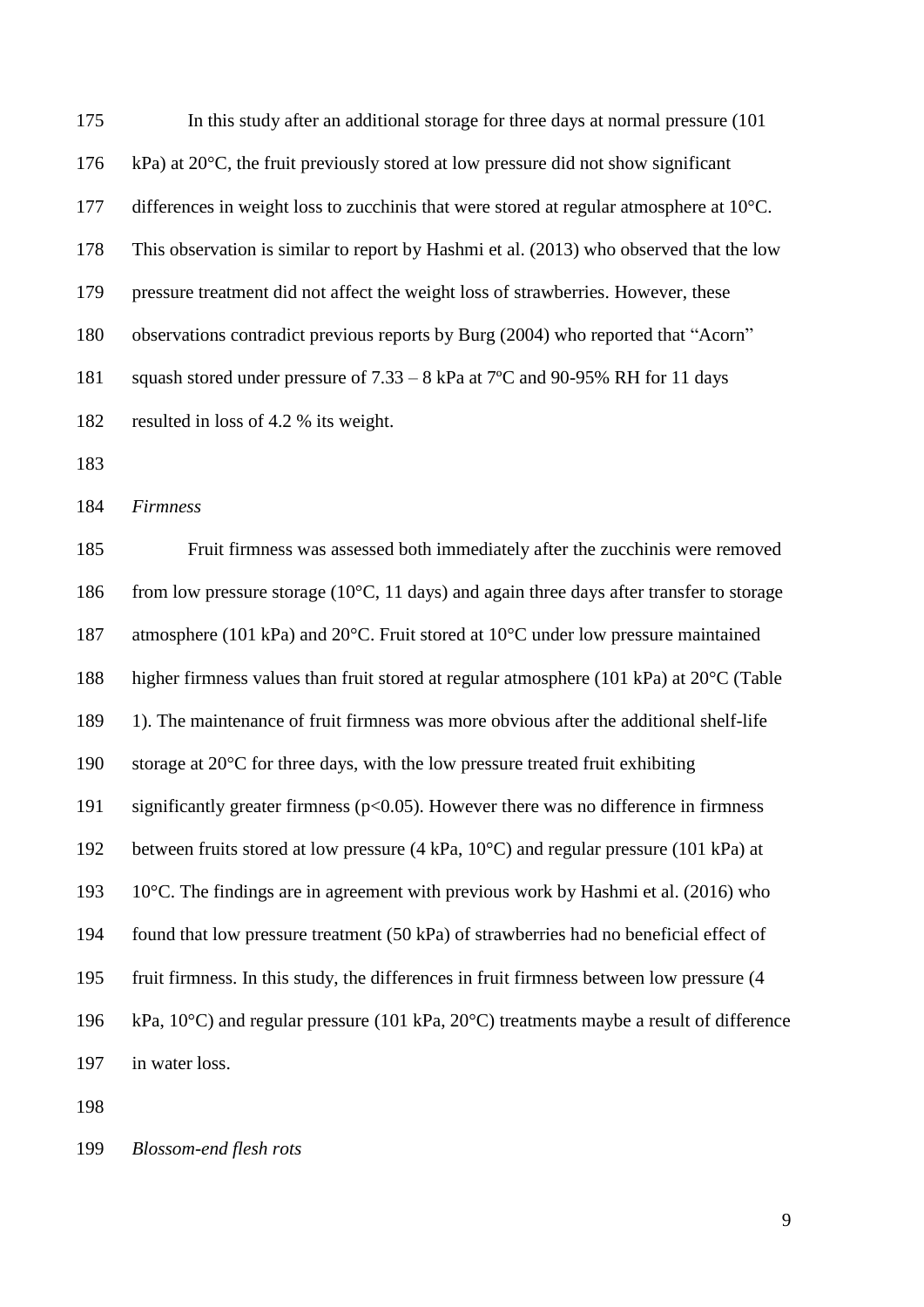In this study after an additional storage for three days at normal pressure (101 176 kPa) at  $20^{\circ}$ C, the fruit previously stored at low pressure did not show significant differences in weight loss to zucchinis that were stored at regular atmosphere at 10°C. This observation is similar to report by Hashmi et al. (2013) who observed that the low pressure treatment did not affect the weight loss of strawberries. However, these observations contradict previous reports by Burg (2004) who reported that "Acorn" squash stored under pressure of 7.33 – 8 kPa at 7ºC and 90-95% RH for 11 days resulted in loss of 4.2 % its weight. 

*Firmness*

 Fruit firmness was assessed both immediately after the zucchinis were removed 186 from low pressure storage (10 $^{\circ}$ C, 11 days) and again three days after transfer to storage atmosphere (101 kPa) and 20°C. Fruit stored at 10°C under low pressure maintained higher firmness values than fruit stored at regular atmosphere (101 kPa) at 20°C (Table 1). The maintenance of fruit firmness was more obvious after the additional shelf-life storage at 20°C for three days, with the low pressure treated fruit exhibiting significantly greater firmness (p<0.05). However there was no difference in firmness between fruits stored at low pressure (4 kPa, 10°C) and regular pressure (101 kPa) at 10°C. The findings are in agreement with previous work by Hashmi et al. (2016) who found that low pressure treatment (50 kPa) of strawberries had no beneficial effect of fruit firmness. In this study, the differences in fruit firmness between low pressure (4 kPa, 10°C) and regular pressure (101 kPa, 20°C) treatments maybe a result of difference in water loss.

## *Blossom-end flesh rots*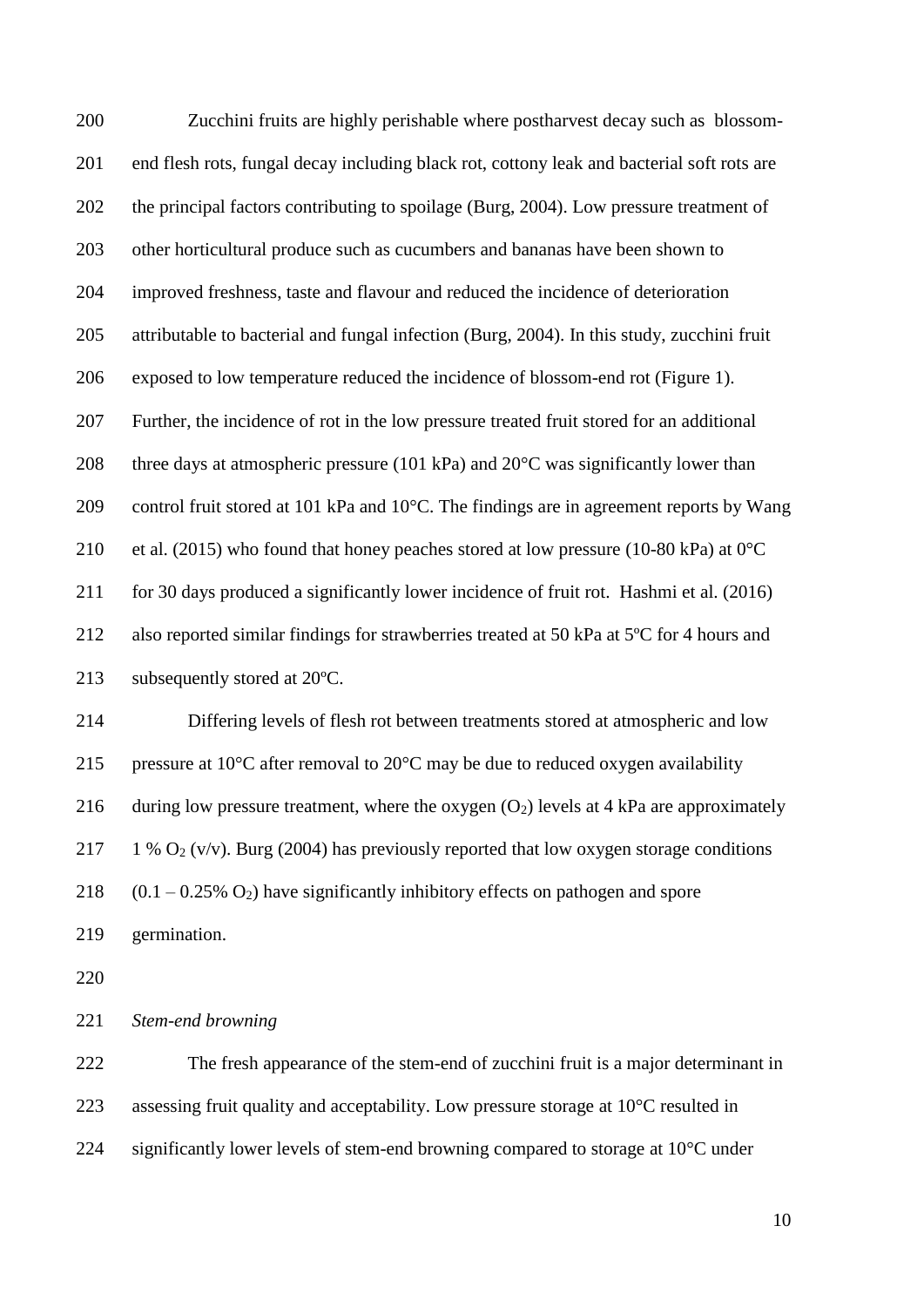Zucchini fruits are highly perishable where postharvest decay such as blossom- end flesh rots, fungal decay including black rot, cottony leak and bacterial soft rots are the principal factors contributing to spoilage (Burg, 2004). Low pressure treatment of other horticultural produce such as cucumbers and bananas have been shown to improved freshness, taste and flavour and reduced the incidence of deterioration attributable to bacterial and fungal infection (Burg, 2004). In this study, zucchini fruit exposed to low temperature reduced the incidence of blossom-end rot (Figure 1). Further, the incidence of rot in the low pressure treated fruit stored for an additional 208 three days at atmospheric pressure (101 kPa) and  $20^{\circ}$ C was significantly lower than control fruit stored at 101 kPa and 10°C. The findings are in agreement reports by Wang 210 et al. (2015) who found that honey peaches stored at low pressure (10-80 kPa) at  $0^{\circ}$ C for 30 days produced a significantly lower incidence of fruit rot. Hashmi et al. (2016) also reported similar findings for strawberries treated at 50 kPa at 5ºC for 4 hours and subsequently stored at 20ºC. Differing levels of flesh rot between treatments stored at atmospheric and low

215 pressure at 10 $\degree$ C after removal to 20 $\degree$ C may be due to reduced oxygen availability 216 during low pressure treatment, where the oxygen  $(O_2)$  levels at 4 kPa are approximately 217 1 %  $O_2$  (v/v). Burg (2004) has previously reported that low oxygen storage conditions 218  $(0.1 - 0.25\% \text{ O}_2)$  have significantly inhibitory effects on pathogen and spore

germination.

*Stem-end browning*

 The fresh appearance of the stem-end of zucchini fruit is a major determinant in assessing fruit quality and acceptability. Low pressure storage at 10°C resulted in significantly lower levels of stem-end browning compared to storage at 10°C under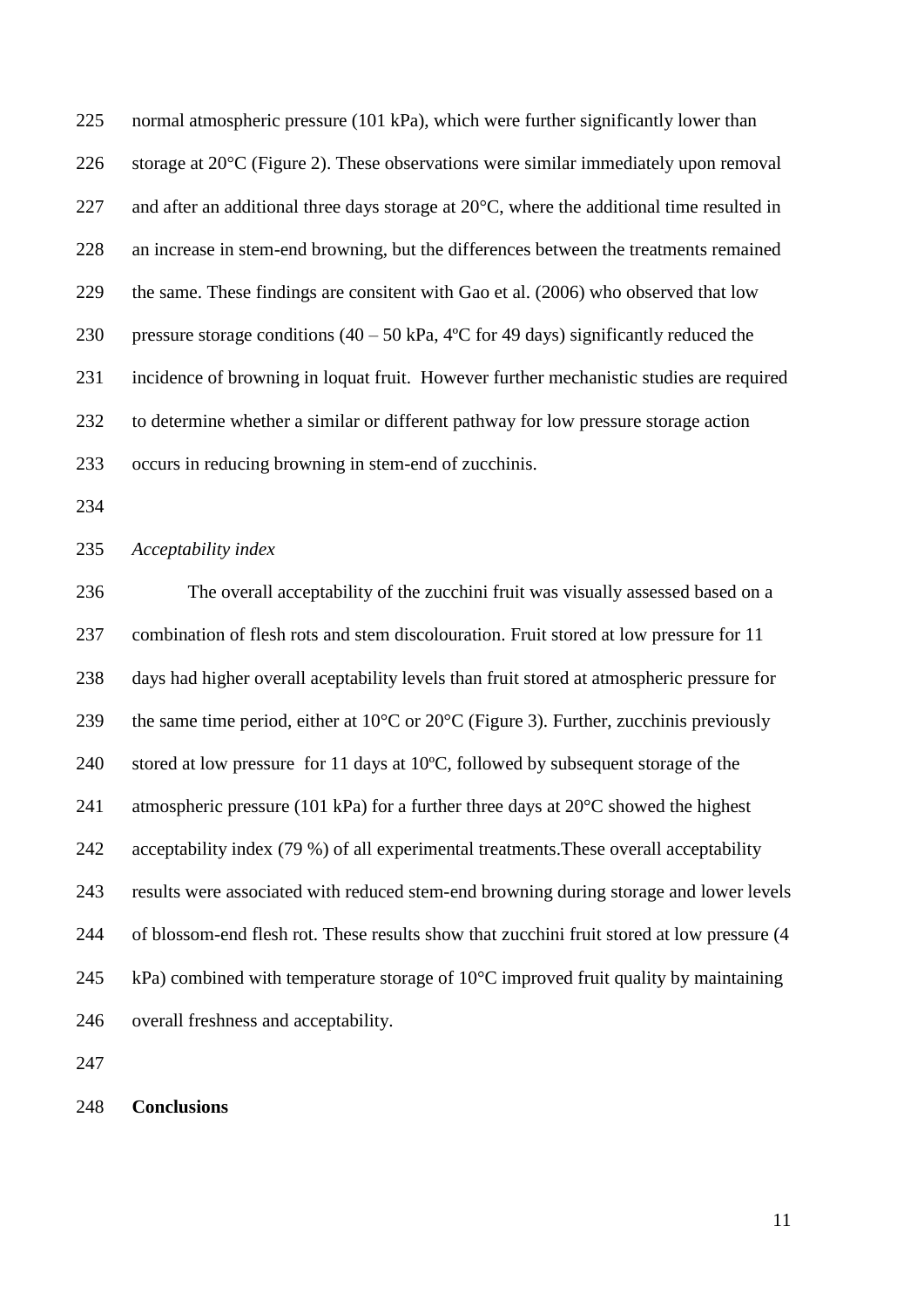normal atmospheric pressure (101 kPa), which were further significantly lower than storage at 20°C (Figure 2). These observations were similar immediately upon removal 227 and after an additional three days storage at  $20^{\circ}$ C, where the additional time resulted in an increase in stem-end browning, but the differences between the treatments remained the same. These findings are consitent with Gao et al. (2006) who observed that low 230 pressure storage conditions  $(40 - 50 \text{ kPa}, 4^{\circ}\text{C}$  for 49 days) significantly reduced the incidence of browning in loquat fruit. However further mechanistic studies are required to determine whether a similar or different pathway for low pressure storage action occurs in reducing browning in stem-end of zucchinis.

### *Acceptability index*

 The overall acceptability of the zucchini fruit was visually assessed based on a combination of flesh rots and stem discolouration. Fruit stored at low pressure for 11 days had higher overall aceptability levels than fruit stored at atmospheric pressure for 239 the same time period, either at  $10^{\circ}$ C or  $20^{\circ}$ C (Figure 3). Further, zucchinis previously stored at low pressure for 11 days at 10ºC, followed by subsequent storage of the 241 atmospheric pressure (101 kPa) for a further three days at  $20^{\circ}$ C showed the highest acceptability index (79 %) of all experimental treatments.These overall acceptability results were associated with reduced stem-end browning during storage and lower levels of blossom-end flesh rot. These results show that zucchini fruit stored at low pressure (4 245 kPa) combined with temperature storage of  $10^{\circ}$ C improved fruit quality by maintaining overall freshness and acceptability.

#### **Conclusions**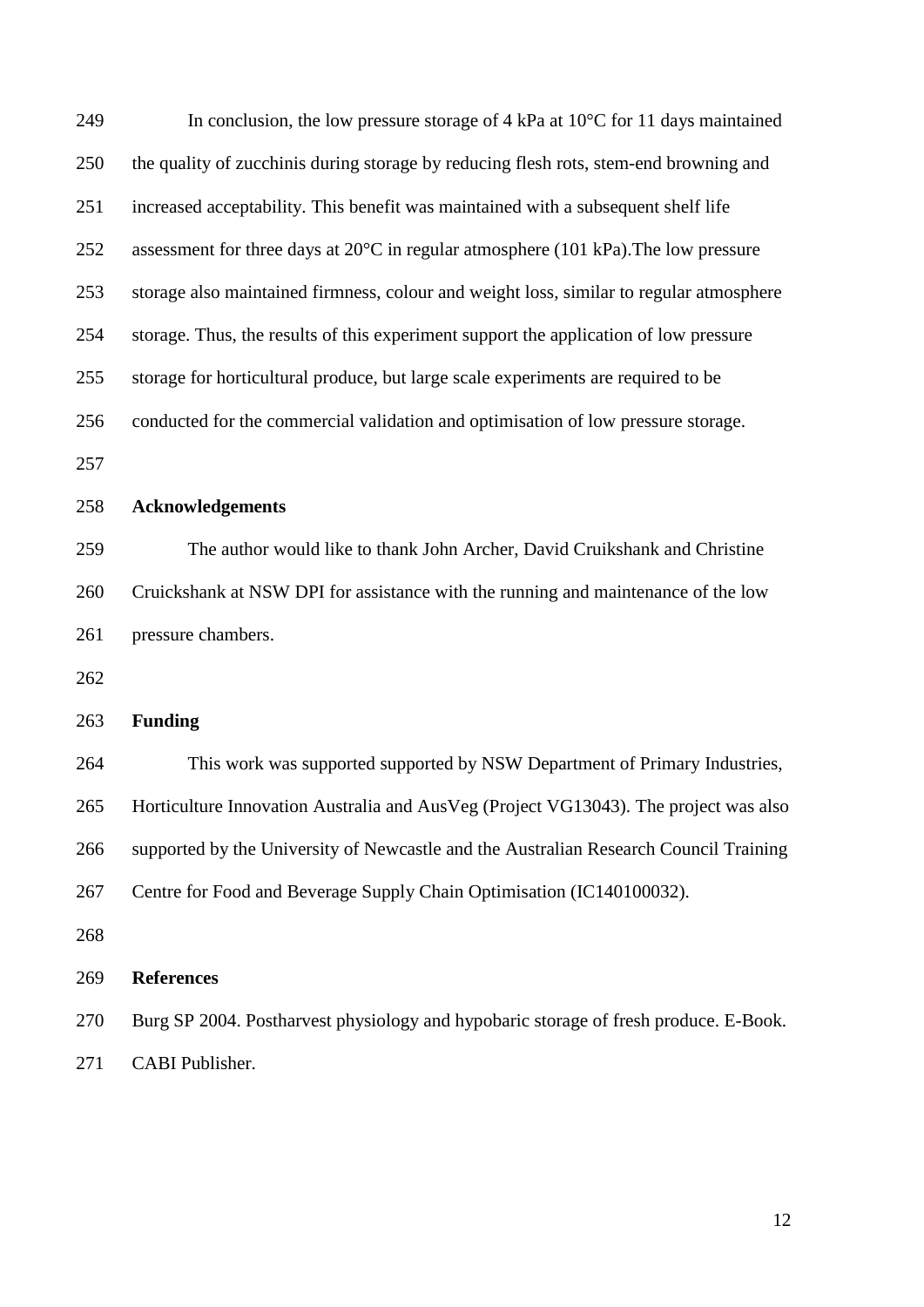| 249 | In conclusion, the low pressure storage of 4 kPa at $10^{\circ}$ C for 11 days maintained     |  |  |
|-----|-----------------------------------------------------------------------------------------------|--|--|
| 250 | the quality of zucchinis during storage by reducing flesh rots, stem-end browning and         |  |  |
| 251 | increased acceptability. This benefit was maintained with a subsequent shelf life             |  |  |
| 252 | assessment for three days at $20^{\circ}$ C in regular atmosphere (101 kPa). The low pressure |  |  |
| 253 | storage also maintained firmness, colour and weight loss, similar to regular atmosphere       |  |  |
| 254 | storage. Thus, the results of this experiment support the application of low pressure         |  |  |
| 255 | storage for horticultural produce, but large scale experiments are required to be             |  |  |
| 256 | conducted for the commercial validation and optimisation of low pressure storage.             |  |  |
| 257 |                                                                                               |  |  |
| 258 | <b>Acknowledgements</b>                                                                       |  |  |
| 259 | The author would like to thank John Archer, David Cruikshank and Christine                    |  |  |
| 260 | Cruickshank at NSW DPI for assistance with the running and maintenance of the low             |  |  |
| 261 | pressure chambers.                                                                            |  |  |
| 262 |                                                                                               |  |  |
| 263 | <b>Funding</b>                                                                                |  |  |
| 264 | This work was supported supported by NSW Department of Primary Industries,                    |  |  |
| 265 | Horticulture Innovation Australia and AusVeg (Project VG13043). The project was also          |  |  |
| 266 | supported by the University of Newcastle and the Australian Research Council Training         |  |  |
| 267 | Centre for Food and Beverage Supply Chain Optimisation (IC140100032).                         |  |  |
| 268 |                                                                                               |  |  |
| 269 | <b>References</b>                                                                             |  |  |
| 270 | Burg SP 2004. Postharvest physiology and hypobaric storage of fresh produce. E-Book.          |  |  |
| 271 | CABI Publisher.                                                                               |  |  |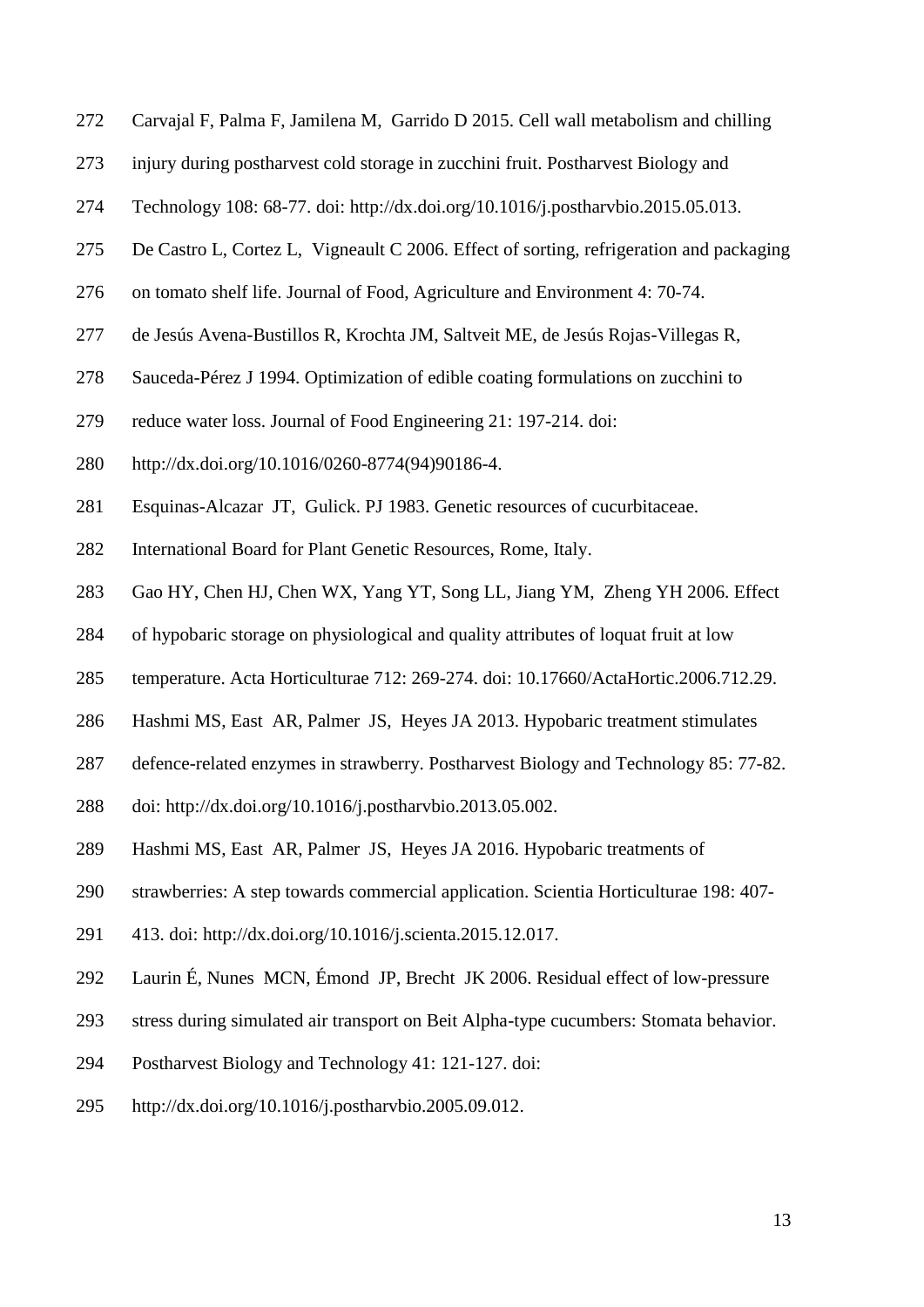- Carvajal F, Palma F, Jamilena M, Garrido D 2015. Cell wall metabolism and chilling
- injury during postharvest cold storage in zucchini fruit. Postharvest Biology and
- Technology 108: 68-77. doi: [http://dx.doi.org/10.1016/j.postharvbio.2015.05.013.](http://dx.doi.org/10.1016/j.postharvbio.2015.05.013)
- De Castro L, Cortez L, Vigneault C 2006. Effect of sorting, refrigeration and packaging
- on tomato shelf life. Journal of Food, Agriculture and Environment 4: 70-74.
- de Jesús Avena-Bustillos R, Krochta JM, Saltveit ME, de Jesús Rojas-Villegas R,
- Sauceda-Pérez J 1994. Optimization of edible coating formulations on zucchini to
- reduce water loss. Journal of Food Engineering 21: 197-214. doi:
- [http://dx.doi.org/10.1016/0260-8774\(94\)90186-4.](http://dx.doi.org/10.1016/0260-8774(94)90186-4)
- Esquinas-Alcazar JT, Gulick. PJ 1983. Genetic resources of cucurbitaceae.
- International Board for Plant Genetic Resources, Rome, Italy.
- Gao HY, Chen HJ, Chen WX, Yang YT, Song LL, Jiang YM, Zheng YH 2006. Effect
- of hypobaric storage on physiological and quality attributes of loquat fruit at low
- temperature. Acta Horticulturae 712: 269-274. doi: 10.17660/ActaHortic.2006.712.29.
- Hashmi MS, East AR, Palmer JS, Heyes JA 2013. Hypobaric treatment stimulates
- defence-related enzymes in strawberry. Postharvest Biology and Technology 85: 77-82.
- doi: [http://dx.doi.org/10.1016/j.postharvbio.2013.05.002.](http://dx.doi.org/10.1016/j.postharvbio.2013.05.002)
- Hashmi MS, East AR, Palmer JS, Heyes JA 2016. Hypobaric treatments of
- strawberries: A step towards commercial application. Scientia Horticulturae 198: 407-
- 413. doi: [http://dx.doi.org/10.1016/j.scienta.2015.12.017.](http://dx.doi.org/10.1016/j.scienta.2015.12.017)
- Laurin É, Nunes MCN, Émond JP, Brecht JK 2006. Residual effect of low-pressure
- stress during simulated air transport on Beit Alpha-type cucumbers: Stomata behavior.
- Postharvest Biology and Technology 41: 121-127. doi:
- [http://dx.doi.org/10.1016/j.postharvbio.2005.09.012.](http://dx.doi.org/10.1016/j.postharvbio.2005.09.012)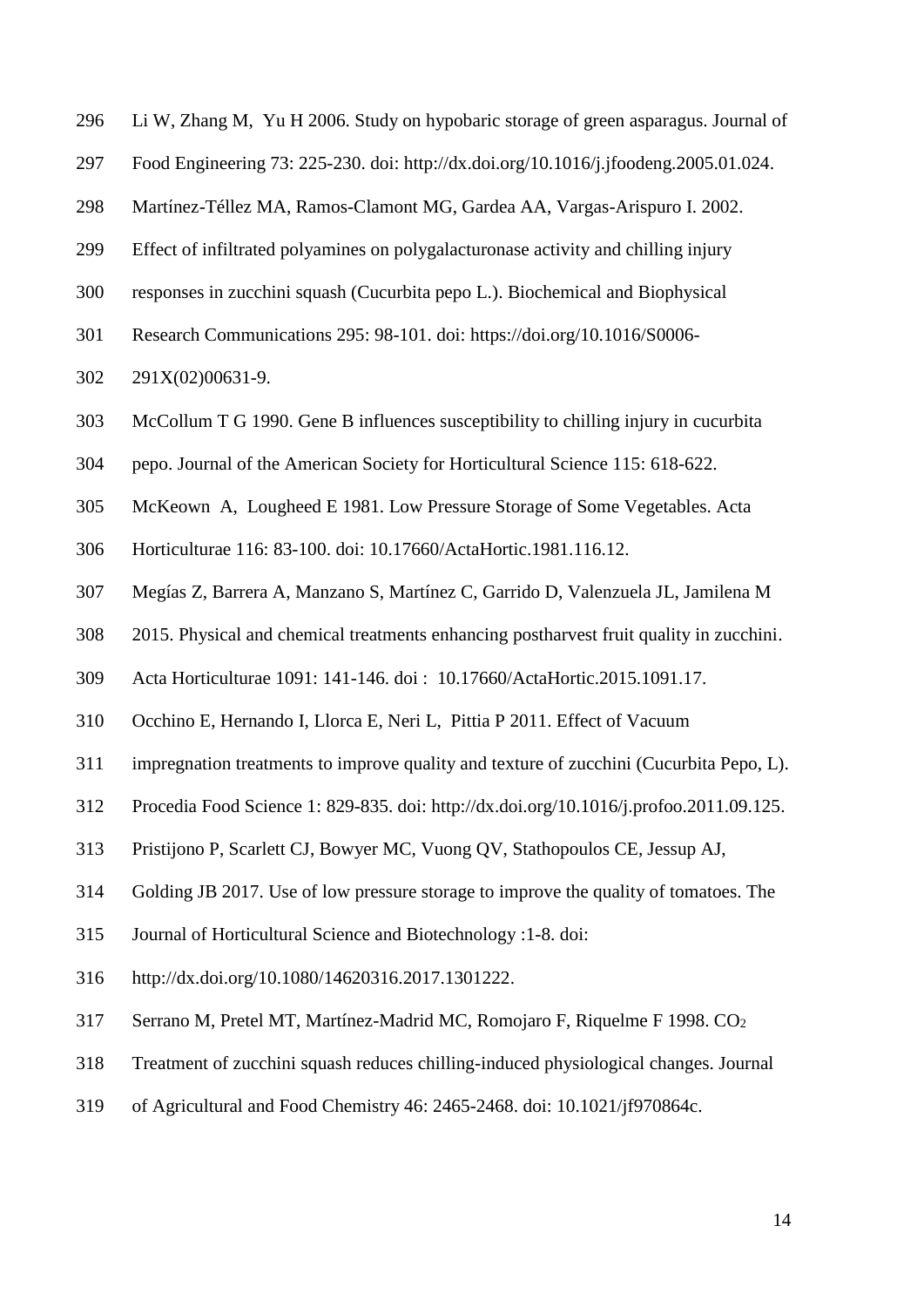- Li W, Zhang M, Yu H 2006. Study on hypobaric storage of green asparagus. Journal of
- Food Engineering 73: 225-230. doi: [http://dx.doi.org/10.1016/j.jfoodeng.2005.01.024.](http://dx.doi.org/10.1016/j.jfoodeng.2005.01.024)
- 298 Martínez-Téllez MA, Ramos-Clamont MG, Gardea AA, Vargas-Arispuro I. 2002.
- Effect of infiltrated polyamines on polygalacturonase activity and chilling injury
- responses in zucchini squash (Cucurbita pepo L.). Biochemical and Biophysical
- Research Communications 295: 98-101. doi: [https://doi.org/10.1016/S0006-](https://doi.org/10.1016/S0006-291X(02)00631-9)
- [291X\(02\)00631-9.](https://doi.org/10.1016/S0006-291X(02)00631-9)
- McCollum T G 1990. Gene B influences susceptibility to chilling injury in cucurbita
- pepo. Journal of the American Society for Horticultural Science 115: 618-622.
- McKeown A, Lougheed E 1981. Low Pressure Storage of Some Vegetables. Acta
- Horticulturae 116: 83-100. doi: 10.17660/ActaHortic.1981.116.12.
- Megías Z, Barrera A, Manzano S, Martínez C, Garrido D, Valenzuela JL, Jamilena M
- 2015. Physical and chemical treatments enhancing postharvest fruit quality in zucchini.
- Acta Horticulturae 1091: 141-146. doi : 10.17660/ActaHortic.2015.1091.17.
- Occhino E, Hernando I, Llorca E, Neri L, Pittia P 2011. Effect of Vacuum
- impregnation treatments to improve quality and texture of zucchini (Cucurbita Pepo, L).
- Procedia Food Science 1: 829-835. doi: [http://dx.doi.org/10.1016/j.profoo.2011.09.125.](http://dx.doi.org/10.1016/j.profoo.2011.09.125)
- Pristijono P, Scarlett CJ, Bowyer MC, Vuong QV, Stathopoulos CE, Jessup AJ,
- Golding JB 2017. Use of low pressure storage to improve the quality of tomatoes. The
- Journal of Horticultural Science and Biotechnology :1-8. doi:
- [http://dx.doi.org/10.1080/14620316.2017.1301222.](http://dx.doi.org/10.1080/14620316.2017.1301222)
- Serrano M, Pretel MT, Martínez-Madrid MC, Romojaro F, Riquelme F 1998. CO<sup>2</sup>
- Treatment of zucchini squash reduces chilling-induced physiological changes. Journal
- of Agricultural and Food Chemistry 46: 2465-2468. doi: 10.1021/jf970864c.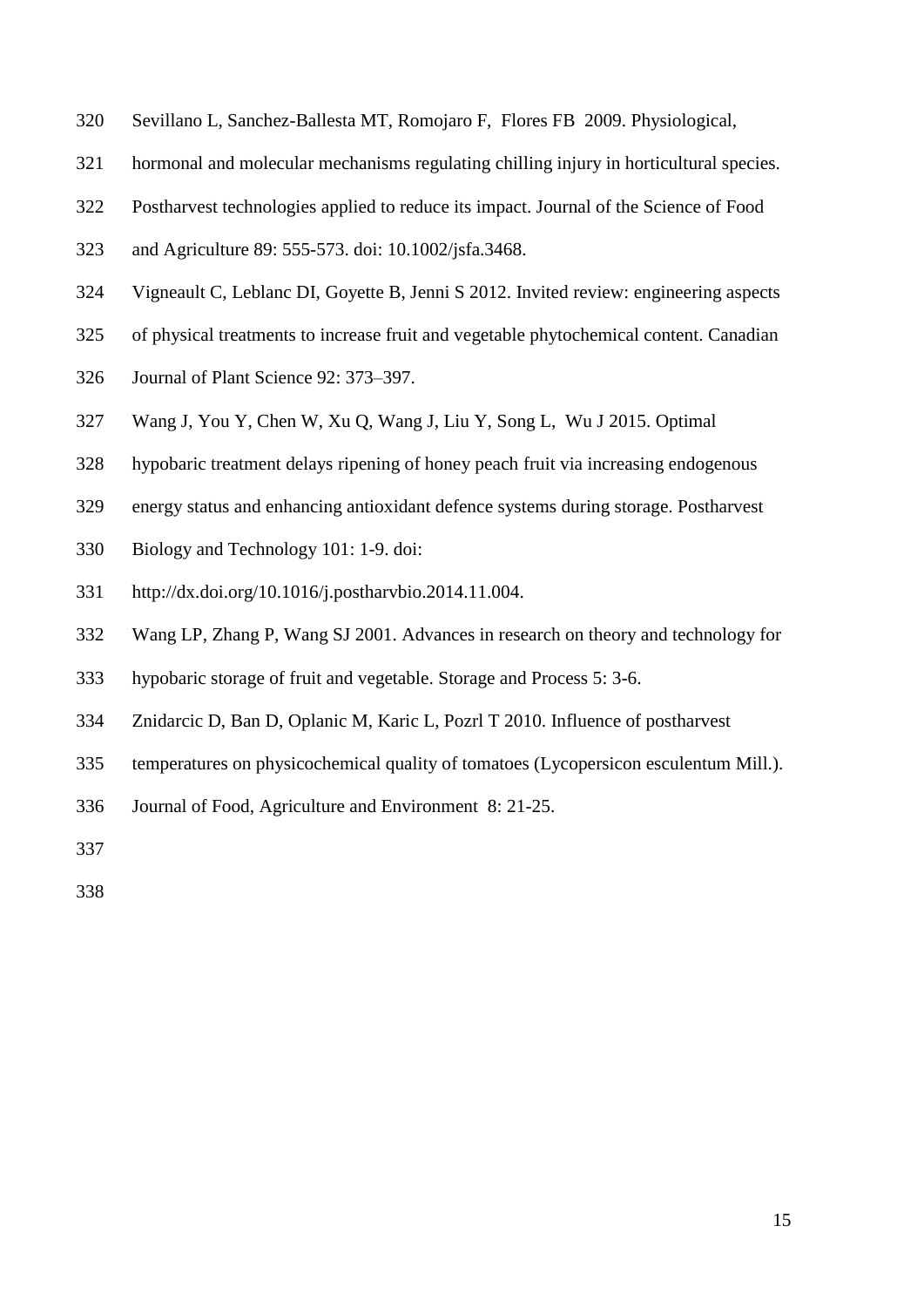- Sevillano L, Sanchez-Ballesta MT, Romojaro F, Flores FB 2009. Physiological,
- hormonal and molecular mechanisms regulating chilling injury in horticultural species.
- Postharvest technologies applied to reduce its impact. Journal of the Science of Food
- and Agriculture 89: 555-573. doi: 10.1002/jsfa.3468.
- Vigneault C, Leblanc DI, Goyette B, Jenni S 2012. Invited review: engineering aspects
- of physical treatments to increase fruit and vegetable phytochemical content. Canadian
- Journal of Plant Science 92: 373–397.
- Wang J, You Y, Chen W, Xu Q, Wang J, Liu Y, Song L, Wu J 2015. Optimal
- hypobaric treatment delays ripening of honey peach fruit via increasing endogenous
- energy status and enhancing antioxidant defence systems during storage. Postharvest
- Biology and Technology 101: 1-9. doi:
- [http://dx.doi.org/10.1016/j.postharvbio.2014.11.004.](http://dx.doi.org/10.1016/j.postharvbio.2014.11.004)
- Wang LP, Zhang P, Wang SJ 2001. Advances in research on theory and technology for
- hypobaric storage of fruit and vegetable. Storage and Process 5: 3-6.
- Znidarcic D, Ban D, Oplanic M, Karic L, Pozrl T 2010. Influence of postharvest
- temperatures on physicochemical quality of tomatoes (Lycopersicon esculentum Mill.).
- Journal of Food, Agriculture and Environment 8: 21-25.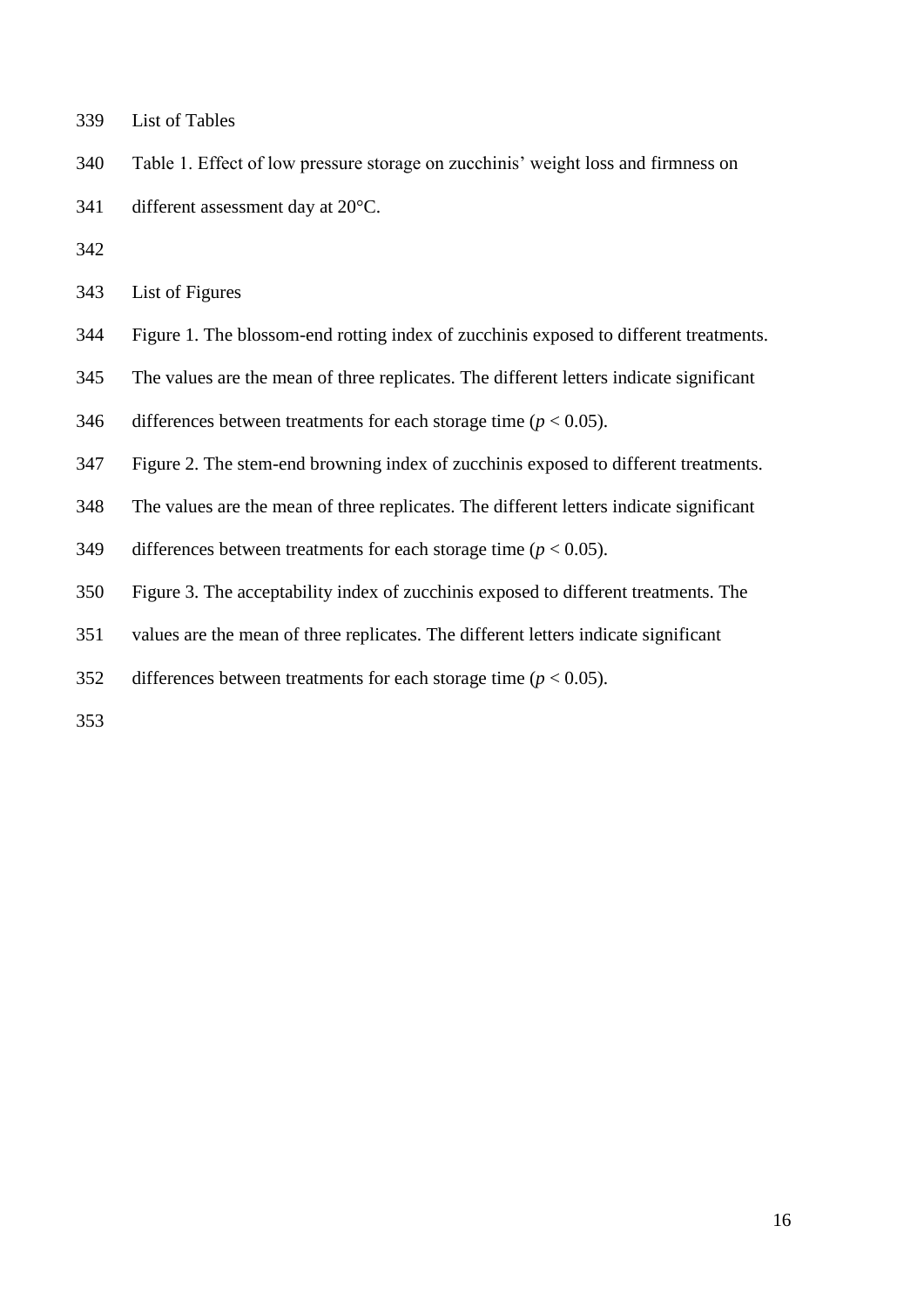- List of Tables
- Table 1. Effect of low pressure storage on zucchinis' weight loss and firmness on
- 341 different assessment day at 20°C.
- 
- List of Figures
- Figure 1. The blossom-end rotting index of zucchinis exposed to different treatments.
- The values are the mean of three replicates. The different letters indicate significant
- 346 differences between treatments for each storage time  $(p < 0.05)$ .
- Figure 2. The stem-end browning index of zucchinis exposed to different treatments.
- The values are the mean of three replicates. The different letters indicate significant
- 349 differences between treatments for each storage time  $(p < 0.05)$ .
- Figure 3. The acceptability index of zucchinis exposed to different treatments. The
- values are the mean of three replicates. The different letters indicate significant
- 352 differences between treatments for each storage time  $(p < 0.05)$ .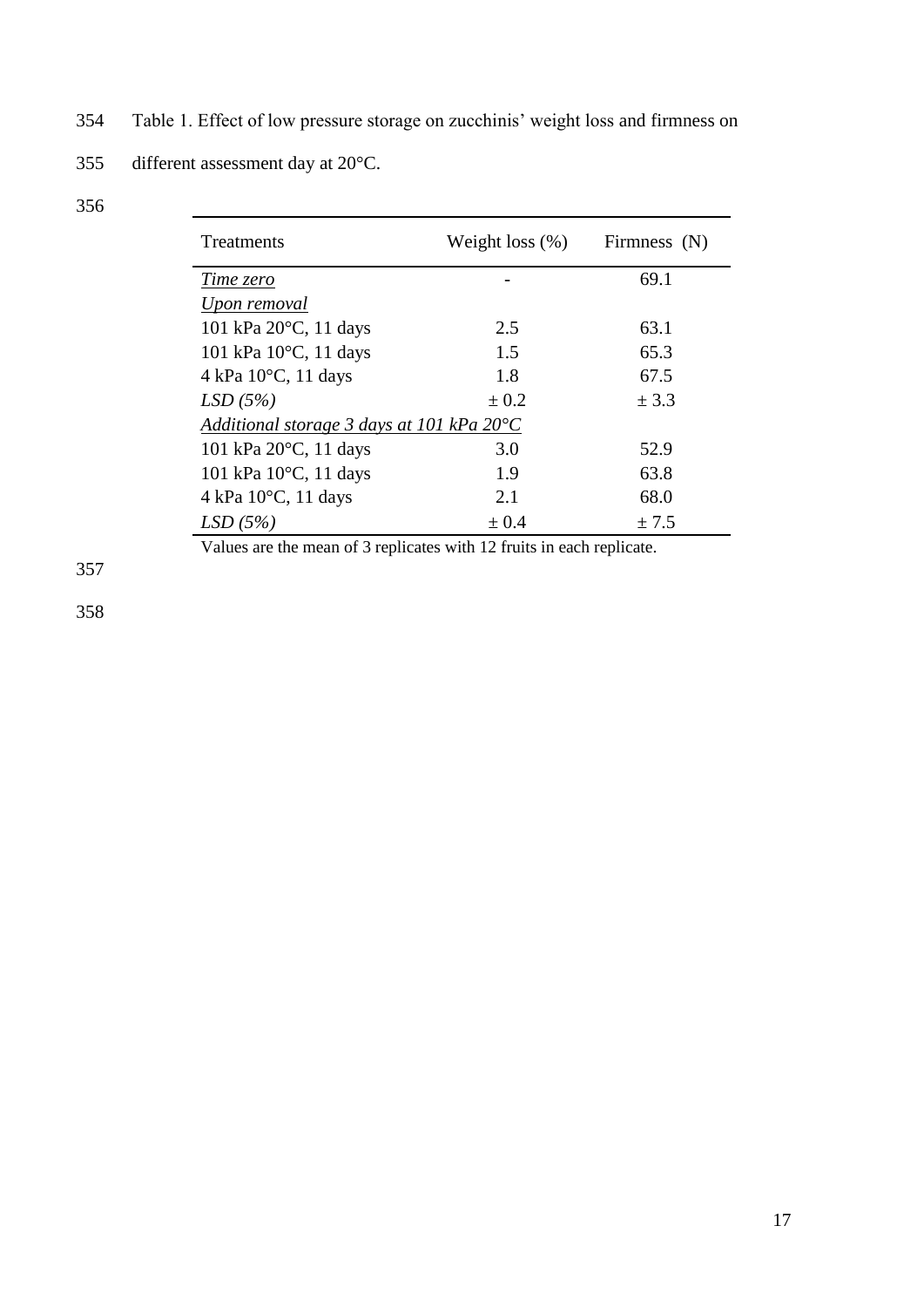354 Table 1. Effect of low pressure storage on zucchinis' weight loss and firmness on

355 different assessment day at 20°C.

| Treatments                                         | Weight loss $(\%)$ | Firmness (N) |  |  |
|----------------------------------------------------|--------------------|--------------|--|--|
| Time zero                                          |                    | 69.1         |  |  |
| Upon removal                                       |                    |              |  |  |
| 101 kPa 20°C, 11 days                              | 2.5                | 63.1         |  |  |
| 101 kPa $10^{\circ}$ C, 11 days                    | 1.5                | 65.3         |  |  |
| 4 kPa $10^{\circ}$ C, 11 days                      | 1.8                | 67.5         |  |  |
| LSD(5%)                                            | $\pm 0.2$          | ± 3.3        |  |  |
| Additional storage 3 days at 101 kPa $20^{\circ}C$ |                    |              |  |  |
| 101 kPa 20°C, 11 days                              | 3.0                | 52.9         |  |  |
| 101 kPa 10°C, 11 days                              | 1.9                | 63.8         |  |  |
| 4 kPa $10^{\circ}$ C, 11 days                      | 2.1                | 68.0         |  |  |
| LSD(5%)                                            | $\pm 0.4$          | ± 7.5        |  |  |

Values are the mean of 3 replicates with 12 fruits in each replicate.

357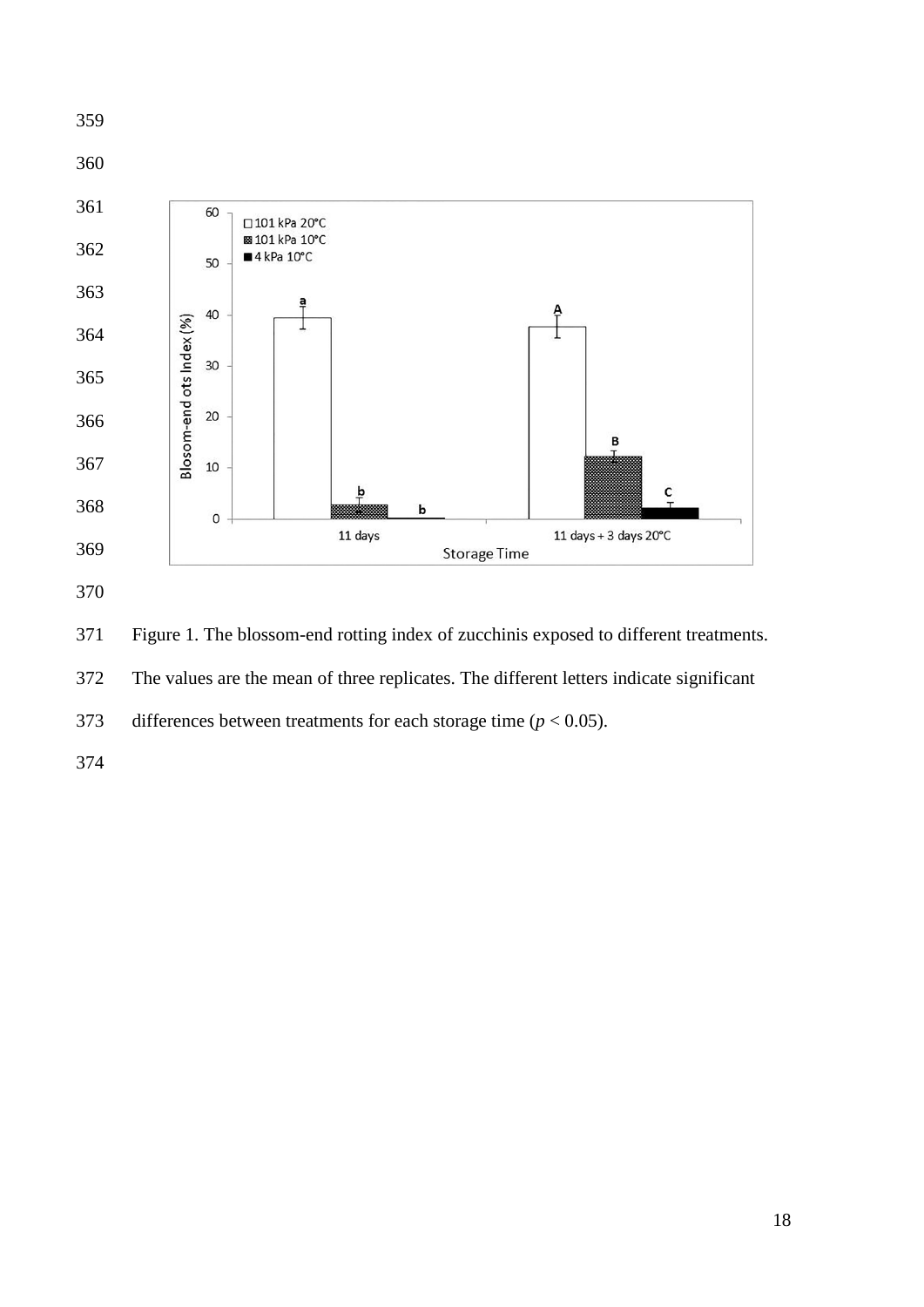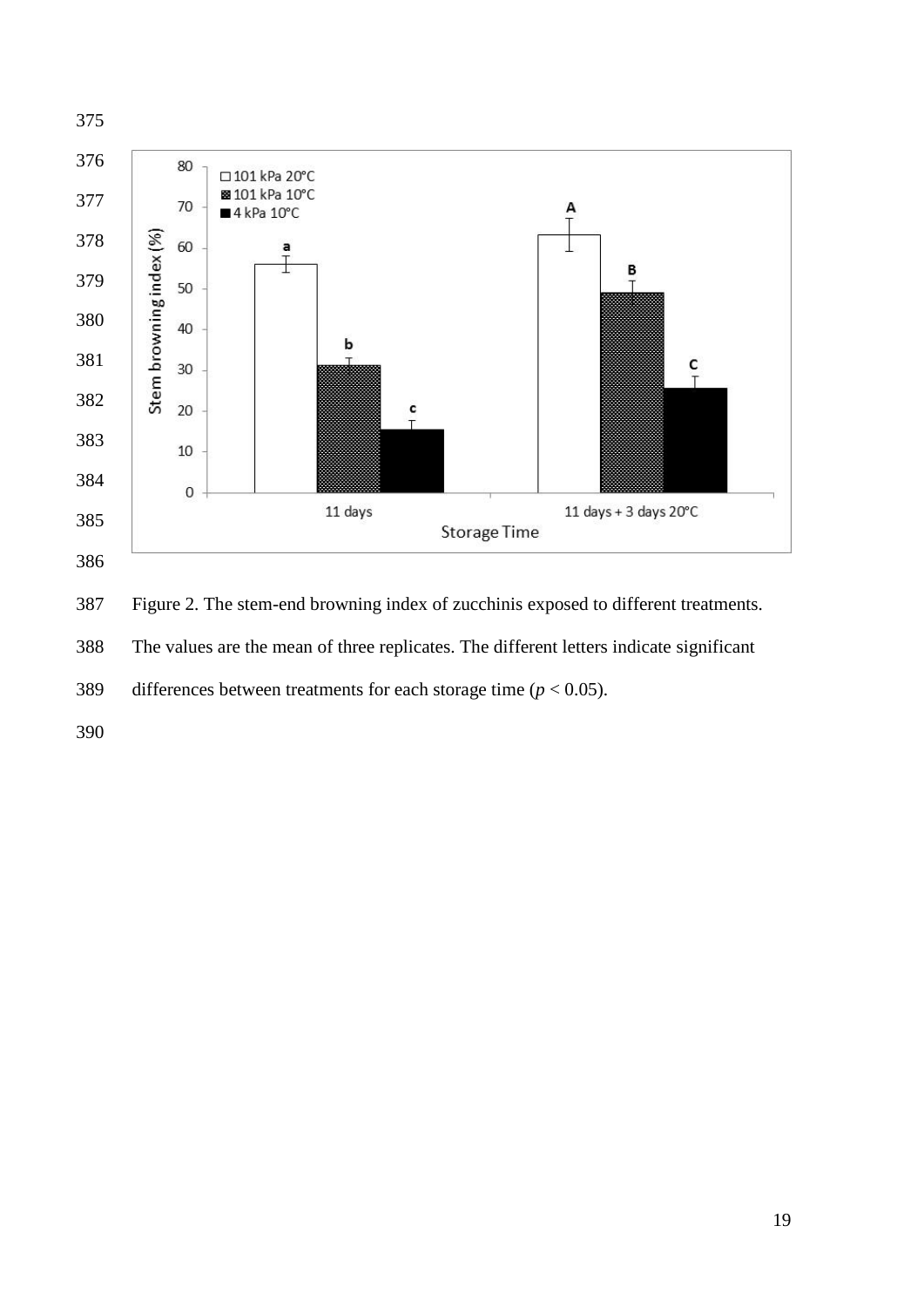

The values are the mean of three replicates. The different letters indicate significant

389 differences between treatments for each storage time  $(p < 0.05)$ .